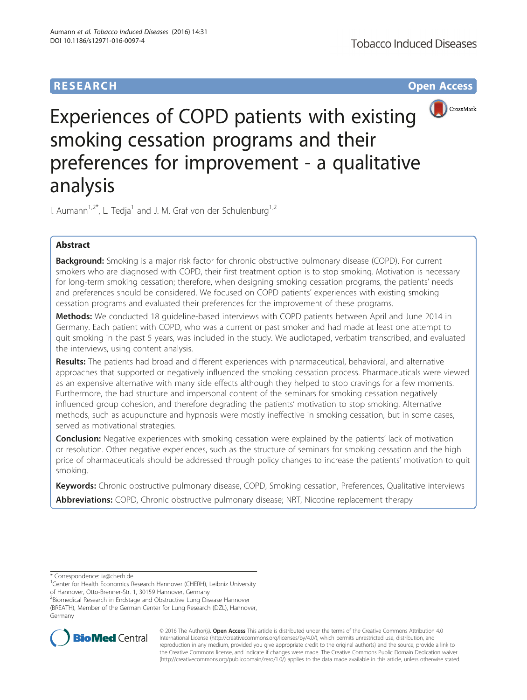# **RESEARCH CHE Open Access**



Experiences of COPD patients with existing smoking cessation programs and their preferences for improvement - a qualitative analysis

I. Aumann<sup>1,2\*</sup>, L. Tedja<sup>1</sup> and J. M. Graf von der Schulenburg<sup>1,2</sup>

## Abstract

**Background:** Smoking is a major risk factor for chronic obstructive pulmonary disease (COPD). For current smokers who are diagnosed with COPD, their first treatment option is to stop smoking. Motivation is necessary for long-term smoking cessation; therefore, when designing smoking cessation programs, the patients' needs and preferences should be considered. We focused on COPD patients' experiences with existing smoking cessation programs and evaluated their preferences for the improvement of these programs.

Methods: We conducted 18 quideline-based interviews with COPD patients between April and June 2014 in Germany. Each patient with COPD, who was a current or past smoker and had made at least one attempt to quit smoking in the past 5 years, was included in the study. We audiotaped, verbatim transcribed, and evaluated the interviews, using content analysis.

Results: The patients had broad and different experiences with pharmaceutical, behavioral, and alternative approaches that supported or negatively influenced the smoking cessation process. Pharmaceuticals were viewed as an expensive alternative with many side effects although they helped to stop cravings for a few moments. Furthermore, the bad structure and impersonal content of the seminars for smoking cessation negatively influenced group cohesion, and therefore degrading the patients' motivation to stop smoking. Alternative methods, such as acupuncture and hypnosis were mostly ineffective in smoking cessation, but in some cases, served as motivational strategies.

**Conclusion:** Negative experiences with smoking cessation were explained by the patients' lack of motivation or resolution. Other negative experiences, such as the structure of seminars for smoking cessation and the high price of pharmaceuticals should be addressed through policy changes to increase the patients' motivation to quit smoking.

Keywords: Chronic obstructive pulmonary disease, COPD, Smoking cessation, Preferences, Qualitative interviews Abbreviations: COPD, Chronic obstructive pulmonary disease; NRT, Nicotine replacement therapy

\* Correspondence: [ia@cherh.de](mailto:ia@cherh.de) <sup>1</sup>

<sup>2</sup> Biomedical Research in Endstage and Obstructive Lung Disease Hannover

(BREATH), Member of the German Center for Lung Research (DZL), Hannover, Germany



© 2016 The Author(s). Open Access This article is distributed under the terms of the Creative Commons Attribution 4.0 International License [\(http://creativecommons.org/licenses/by/4.0/](http://creativecommons.org/licenses/by/4.0/)), which permits unrestricted use, distribution, and reproduction in any medium, provided you give appropriate credit to the original author(s) and the source, provide a link to the Creative Commons license, and indicate if changes were made. The Creative Commons Public Domain Dedication waiver [\(http://creativecommons.org/publicdomain/zero/1.0/](http://creativecommons.org/publicdomain/zero/1.0/)) applies to the data made available in this article, unless otherwise stated.

<sup>&</sup>lt;sup>1</sup> Center for Health Economics Research Hannover (CHERH), Leibniz University of Hannover, Otto-Brenner-Str. 1, 30159 Hannover, Germany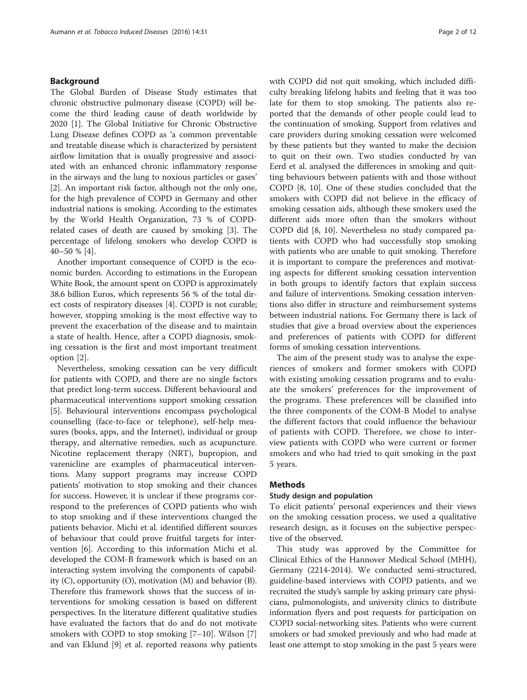### Background

The Global Burden of Disease Study estimates that chronic obstructive pulmonary disease (COPD) will become the third leading cause of death worldwide by 2020 [[1\]](#page-11-0). The Global Initiative for Chronic Obstructive Lung Disease defines COPD as 'a common preventable and treatable disease which is characterized by persistent airflow limitation that is usually progressive and associated with an enhanced chronic inflammatory response in the airways and the lung to noxious particles or gases' [[2\]](#page-11-0). An important risk factor, although not the only one, for the high prevalence of COPD in Germany and other industrial nations is smoking. According to the estimates by the World Health Organization, 73 % of COPDrelated cases of death are caused by smoking [[3\]](#page-11-0). The percentage of lifelong smokers who develop COPD is 40–50 % [\[4](#page-11-0)].

Another important consequence of COPD is the economic burden. According to estimations in the European White Book, the amount spent on COPD is approximately 38.6 billion Euros, which represents 56 % of the total direct costs of respiratory diseases [\[4\]](#page-11-0). COPD is not curable; however, stopping smoking is the most effective way to prevent the exacerbation of the disease and to maintain a state of health. Hence, after a COPD diagnosis, smoking cessation is the first and most important treatment option [[2](#page-11-0)].

Nevertheless, smoking cessation can be very difficult for patients with COPD, and there are no single factors that predict long-term success. Different behavioural and pharmaceutical interventions support smoking cessation [[5\]](#page-11-0). Behavioural interventions encompass psychological counselling (face-to-face or telephone), self-help measures (books, apps, and the Internet), individual or group therapy, and alternative remedies, such as acupuncture. Nicotine replacement therapy (NRT), bupropion, and varenicline are examples of pharmaceutical interventions. Many support programs may increase COPD patients' motivation to stop smoking and their chances for success. However, it is unclear if these programs correspond to the preferences of COPD patients who wish to stop smoking and if these interventions changed the patients behavior. Michi et al. identified different sources of behaviour that could prove fruitful targets for intervention [[6\]](#page-11-0). According to this information Michi et al. developed the COM-B framework which is based on an interacting system involving the components of capability  $(C)$ , opportunity  $(O)$ , motivation  $(M)$  and behavior  $(B)$ . Therefore this framework shows that the success of interventions for smoking cessation is based on different perspectives. In the literature different qualitative studies have evaluated the factors that do and do not motivate smokers with COPD to stop smoking [[7](#page-11-0)–[10](#page-11-0)]. Wilson [\[7](#page-11-0)] and van Eklund [\[9](#page-11-0)] et al. reported reasons why patients with COPD did not quit smoking, which included difficulty breaking lifelong habits and feeling that it was too late for them to stop smoking. The patients also reported that the demands of other people could lead to the continuation of smoking. Support from relatives and care providers during smoking cessation were welcomed by these patients but they wanted to make the decision to quit on their own. Two studies conducted by van Eerd et al. analysed the differences in smoking and quitting behaviours between patients with and those without COPD [[8, 10\]](#page-11-0). One of these studies concluded that the smokers with COPD did not believe in the efficacy of smoking cessation aids, although these smokers used the different aids more often than the smokers without COPD did [\[8](#page-11-0), [10](#page-11-0)]. Nevertheless no study compared patients with COPD who had successfully stop smoking with patients who are unable to quit smoking. Therefore it is important to compare the preferences and motivating aspects for different smoking cessation intervention in both groups to identify factors that explain success and failure of interventions. Smoking cessation interventions also differ in structure and reimbursement systems between industrial nations. For Germany there is lack of studies that give a broad overview about the experiences and preferences of patients with COPD for different forms of smoking cessation interventions.

The aim of the present study was to analyse the experiences of smokers and former smokers with COPD with existing smoking cessation programs and to evaluate the smokers' preferences for the improvement of the programs. These preferences will be classified into the three components of the COM-B Model to analyse the different factors that could influence the behaviour of patients with COPD. Therefore, we chose to interview patients with COPD who were current or former smokers and who had tried to quit smoking in the past 5 years.

#### Methods

#### Study design and population

To elicit patients' personal experiences and their views on the smoking cessation process, we used a qualitative research design, as it focuses on the subjective perspective of the observed.

This study was approved by the Committee for Clinical Ethics of the Hannover Medical School (MHH), Germany (2214-2014). We conducted semi-structured, guideline-based interviews with COPD patients, and we recruited the study's sample by asking primary care physicians, pulmonologists, and university clinics to distribute information flyers and post requests for participation on COPD social-networking sites. Patients who were current smokers or had smoked previously and who had made at least one attempt to stop smoking in the past 5 years were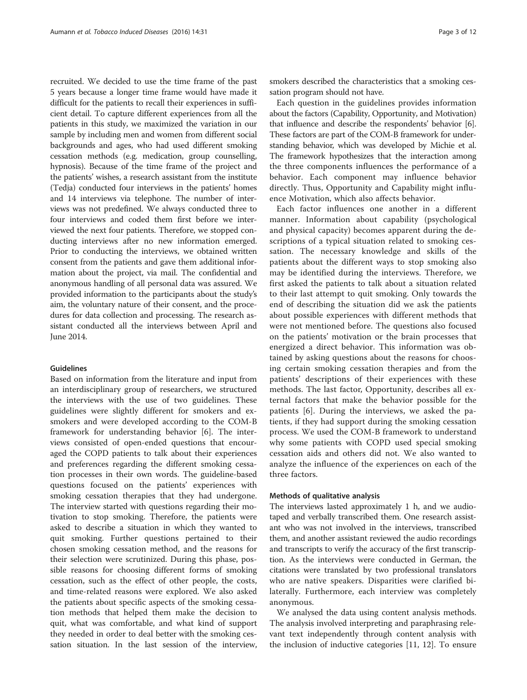recruited. We decided to use the time frame of the past 5 years because a longer time frame would have made it difficult for the patients to recall their experiences in sufficient detail. To capture different experiences from all the patients in this study, we maximized the variation in our sample by including men and women from different social backgrounds and ages, who had used different smoking cessation methods (e.g. medication, group counselling, hypnosis). Because of the time frame of the project and the patients' wishes, a research assistant from the institute (Tedja) conducted four interviews in the patients' homes and 14 interviews via telephone. The number of interviews was not predefined. We always conducted three to four interviews and coded them first before we interviewed the next four patients. Therefore, we stopped conducting interviews after no new information emerged. Prior to conducting the interviews, we obtained written consent from the patients and gave them additional information about the project, via mail. The confidential and anonymous handling of all personal data was assured. We provided information to the participants about the study's aim, the voluntary nature of their consent, and the procedures for data collection and processing. The research assistant conducted all the interviews between April and June 2014.

#### Guidelines

Based on information from the literature and input from an interdisciplinary group of researchers, we structured the interviews with the use of two guidelines. These guidelines were slightly different for smokers and exsmokers and were developed according to the COM-B framework for understanding behavior [[6\]](#page-11-0). The interviews consisted of open-ended questions that encouraged the COPD patients to talk about their experiences and preferences regarding the different smoking cessation processes in their own words. The guideline-based questions focused on the patients' experiences with smoking cessation therapies that they had undergone. The interview started with questions regarding their motivation to stop smoking. Therefore, the patients were asked to describe a situation in which they wanted to quit smoking. Further questions pertained to their chosen smoking cessation method, and the reasons for their selection were scrutinized. During this phase, possible reasons for choosing different forms of smoking cessation, such as the effect of other people, the costs, and time-related reasons were explored. We also asked the patients about specific aspects of the smoking cessation methods that helped them make the decision to quit, what was comfortable, and what kind of support they needed in order to deal better with the smoking cessation situation. In the last session of the interview,

smokers described the characteristics that a smoking cessation program should not have.

Each question in the guidelines provides information about the factors (Capability, Opportunity, and Motivation) that influence and describe the respondents' behavior [[6](#page-11-0)]. These factors are part of the COM-B framework for understanding behavior, which was developed by Michie et al. The framework hypothesizes that the interaction among the three components influences the performance of a behavior. Each component may influence behavior directly. Thus, Opportunity and Capability might influence Motivation, which also affects behavior.

Each factor influences one another in a different manner. Information about capability (psychological and physical capacity) becomes apparent during the descriptions of a typical situation related to smoking cessation. The necessary knowledge and skills of the patients about the different ways to stop smoking also may be identified during the interviews. Therefore, we first asked the patients to talk about a situation related to their last attempt to quit smoking. Only towards the end of describing the situation did we ask the patients about possible experiences with different methods that were not mentioned before. The questions also focused on the patients' motivation or the brain processes that energized a direct behavior. This information was obtained by asking questions about the reasons for choosing certain smoking cessation therapies and from the patients' descriptions of their experiences with these methods. The last factor, Opportunity, describes all external factors that make the behavior possible for the patients [[6\]](#page-11-0). During the interviews, we asked the patients, if they had support during the smoking cessation process. We used the COM-B framework to understand why some patients with COPD used special smoking cessation aids and others did not. We also wanted to analyze the influence of the experiences on each of the three factors.

#### Methods of qualitative analysis

The interviews lasted approximately 1 h, and we audiotaped and verbally transcribed them. One research assistant who was not involved in the interviews, transcribed them, and another assistant reviewed the audio recordings and transcripts to verify the accuracy of the first transcription. As the interviews were conducted in German, the citations were translated by two professional translators who are native speakers. Disparities were clarified bilaterally. Furthermore, each interview was completely anonymous.

We analysed the data using content analysis methods. The analysis involved interpreting and paraphrasing relevant text independently through content analysis with the inclusion of inductive categories [\[11, 12](#page-11-0)]. To ensure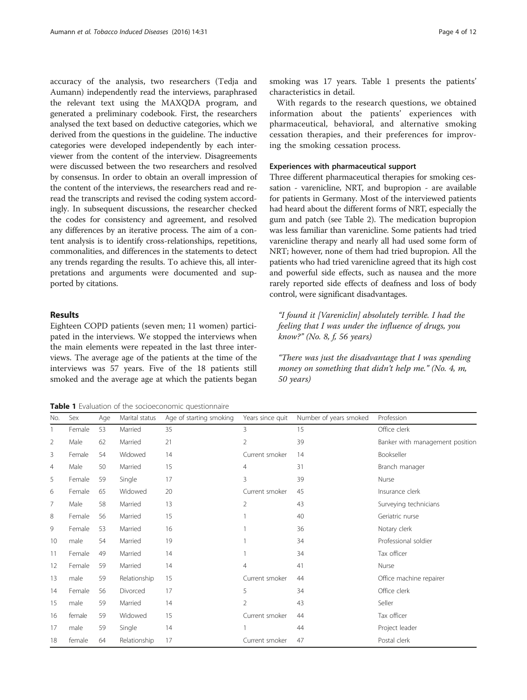accuracy of the analysis, two researchers (Tedja and Aumann) independently read the interviews, paraphrased the relevant text using the MAXQDA program, and generated a preliminary codebook. First, the researchers analysed the text based on deductive categories, which we derived from the questions in the guideline. The inductive categories were developed independently by each interviewer from the content of the interview. Disagreements were discussed between the two researchers and resolved by consensus. In order to obtain an overall impression of the content of the interviews, the researchers read and reread the transcripts and revised the coding system accordingly. In subsequent discussions, the researcher checked the codes for consistency and agreement, and resolved any differences by an iterative process. The aim of a content analysis is to identify cross-relationships, repetitions, commonalities, and differences in the statements to detect any trends regarding the results. To achieve this, all interpretations and arguments were documented and supported by citations.

#### Results

Eighteen COPD patients (seven men; 11 women) participated in the interviews. We stopped the interviews when the main elements were repeated in the last three interviews. The average age of the patients at the time of the interviews was 57 years. Five of the 18 patients still smoked and the average age at which the patients began

Table 1 Evaluation of the socioeconomic questionnaire

smoking was 17 years. Table 1 presents the patients' characteristics in detail.

With regards to the research questions, we obtained information about the patients' experiences with pharmaceutical, behavioral, and alternative smoking cessation therapies, and their preferences for improving the smoking cessation process.

#### Experiences with pharmaceutical support

Three different pharmaceutical therapies for smoking cessation - varenicline, NRT, and bupropion - are available for patients in Germany. Most of the interviewed patients had heard about the different forms of NRT, especially the gum and patch (see Table [2\)](#page-4-0). The medication bupropion was less familiar than varenicline. Some patients had tried varenicline therapy and nearly all had used some form of NRT; however, none of them had tried bupropion. All the patients who had tried varenicline agreed that its high cost and powerful side effects, such as nausea and the more rarely reported side effects of deafness and loss of body control, were significant disadvantages.

"I found it [Vareniclin] absolutely terrible. I had the feeling that I was under the influence of drugs, you know?" (No. 8, f, 56 years)

"There was just the disadvantage that I was spending money on something that didn't help me." (No. 4, m, 50 years)

| No. | Sex    | Age | Marital status | Age of starting smoking | Years since quit | Number of years smoked | Profession                      |
|-----|--------|-----|----------------|-------------------------|------------------|------------------------|---------------------------------|
|     | Female | 53  | Married        | 35                      | 3                | 15                     | Office clerk                    |
| 2   | Male   | 62  | Married        | 21                      | $\overline{2}$   | 39                     | Banker with management position |
| 3   | Female | 54  | Widowed        | 14                      | Current smoker   | 14                     | Bookseller                      |
| 4   | Male   | 50  | Married        | 15                      | $\overline{4}$   | 31                     | Branch manager                  |
| 5   | Female | 59  | Single         | 17                      | 3                | 39                     | Nurse                           |
| 6   | Female | 65  | Widowed        | 20                      | Current smoker   | 45                     | Insurance clerk                 |
| 7   | Male   | 58  | Married        | 13                      | 2                | 43                     | Surveying technicians           |
| 8   | Female | 56  | Married        | 15                      |                  | 40                     | Geriatric nurse                 |
| 9   | Female | 53  | Married        | 16                      |                  | 36                     | Notary clerk                    |
| 10  | male   | 54  | Married        | 19                      |                  | 34                     | Professional soldier            |
| 11  | Female | 49  | Married        | 14                      |                  | 34                     | Tax officer                     |
| 12  | Female | 59  | Married        | 14                      | $\overline{4}$   | 41                     | Nurse                           |
| 13  | male   | 59  | Relationship   | 15                      | Current smoker   | 44                     | Office machine repairer         |
| 14  | Female | 56  | Divorced       | 17                      | 5                | 34                     | Office clerk                    |
| 15  | male   | 59  | Married        | 14                      | $\overline{2}$   | 43                     | Seller                          |
| 16  | female | 59  | Widowed        | 15                      | Current smoker   | 44                     | Tax officer                     |
| 17  | male   | 59  | Single         | 14                      |                  | 44                     | Project leader                  |
| 18  | female | 64  | Relationship   | 17                      | Current smoker   | 47                     | Postal clerk                    |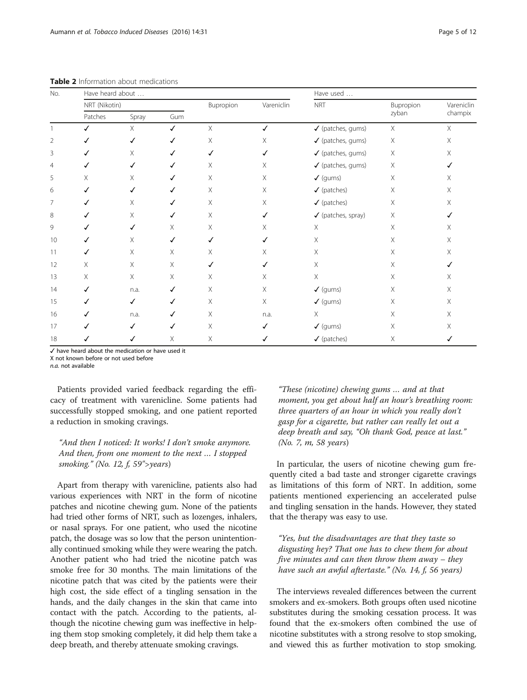| No. | Have heard about |       |          |           |            | Have used                     |           |            |  |
|-----|------------------|-------|----------|-----------|------------|-------------------------------|-----------|------------|--|
|     | NRT (Nikotin)    |       |          | Bupropion | Vareniclin | <b>NRT</b>                    | Bupropion | Vareniclin |  |
|     | Patches          | Spray | Gum      |           |            |                               | zyban     | champix    |  |
|     | ℐ                | X     | ✓        | Χ         | ✓          | $\checkmark$ (patches, gums)  | X         | $\times$   |  |
| 2   |                  | ✓     |          | Χ         | Χ          | $\checkmark$ (patches, gums)  | Χ         | Χ          |  |
| 3   |                  | X     |          | ✓         |            | $\checkmark$ (patches, gums)  | Χ         | X          |  |
| 4   |                  | ✓     |          | Χ         | X          | $\checkmark$ (patches, gums)  | Χ         |            |  |
| 5   | Χ                | Χ     |          | Χ         | X          | $J$ (gums)                    | Χ         | Χ          |  |
| 6   | ✓                | ✓     |          | Χ         | X          | $\checkmark$ (patches)        | Χ         | Χ          |  |
| 7   |                  | Χ     |          | Χ         | $\times$   | $\checkmark$ (patches)        | Χ         | X.         |  |
| 8   |                  | Χ     |          | Χ         |            | $\checkmark$ (patches, spray) | Χ         |            |  |
| 9   |                  | ✓     | X        | Χ         | X          | X                             | Χ         | X.         |  |
| 10  |                  | Χ     |          | ✓         |            | X                             | Χ         | Χ          |  |
| 11  |                  | Χ     | $\times$ | X         | X          | X                             | Χ         | X          |  |
| 12  | X                | Χ     | X        | ✓         |            | X                             | Χ         |            |  |
| 13  | $\times$         | Χ     | X        | X         | X          | X                             | X         | Χ          |  |
| 14  |                  | n.a.  |          | Χ         | X          | $J$ (gums)                    | Χ         | Χ          |  |
| 15  |                  | ✓     |          | Χ         | $\times$   | $J$ (gums)                    | X         | X.         |  |
| 16  |                  | n.a.  |          | Χ         | n.a.       | X                             | X.        | Χ          |  |
| 17  |                  | ✓     |          | Χ         | ✓          | $J$ (gums)                    | X         | Χ          |  |

18 **✓ ✓** X X **✓** (patches) X **✓** 

<span id="page-4-0"></span>Table 2 Information about medications

✓ have heard about the medication or have used it

X not known before or not used before n.a. not available

Patients provided varied feedback regarding the efficacy of treatment with varenicline. Some patients had successfully stopped smoking, and one patient reported a reduction in smoking cravings.

"And then I noticed: It works! I don't smoke anymore. And then, from one moment to the next … I stopped smoking." (No. 12, f, 59">years)

Apart from therapy with varenicline, patients also had various experiences with NRT in the form of nicotine patches and nicotine chewing gum. None of the patients had tried other forms of NRT, such as lozenges, inhalers, or nasal sprays. For one patient, who used the nicotine patch, the dosage was so low that the person unintentionally continued smoking while they were wearing the patch. Another patient who had tried the nicotine patch was smoke free for 30 months. The main limitations of the nicotine patch that was cited by the patients were their high cost, the side effect of a tingling sensation in the hands, and the daily changes in the skin that came into contact with the patch. According to the patients, although the nicotine chewing gum was ineffective in helping them stop smoking completely, it did help them take a deep breath, and thereby attenuate smoking cravings.

"These (nicotine) chewing gums … and at that moment, you get about half an hour's breathing room: three quarters of an hour in which you really don't gasp for a cigarette, but rather can really let out a deep breath and say, "Oh thank God, peace at last." (No. 7, m, 58 years)

In particular, the users of nicotine chewing gum frequently cited a bad taste and stronger cigarette cravings as limitations of this form of NRT. In addition, some patients mentioned experiencing an accelerated pulse and tingling sensation in the hands. However, they stated that the therapy was easy to use.

"Yes, but the disadvantages are that they taste so disgusting hey? That one has to chew them for about five minutes and can then throw them away – they have such an awful aftertaste." (No. 14, f, 56 years)

The interviews revealed differences between the current smokers and ex-smokers. Both groups often used nicotine substitutes during the smoking cessation process. It was found that the ex-smokers often combined the use of nicotine substitutes with a strong resolve to stop smoking, and viewed this as further motivation to stop smoking.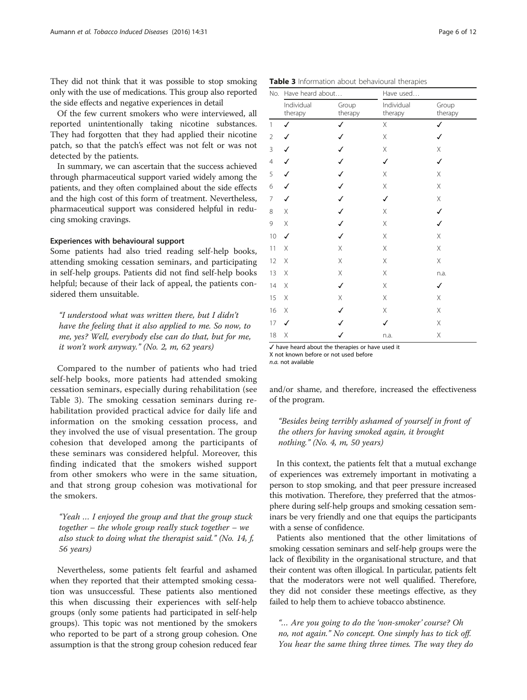They did not think that it was possible to stop smoking only with the use of medications. This group also reported the side effects and negative experiences in detail

Of the few current smokers who were interviewed, all reported unintentionally taking nicotine substances. They had forgotten that they had applied their nicotine patch, so that the patch's effect was not felt or was not detected by the patients.

In summary, we can ascertain that the success achieved through pharmaceutical support varied widely among the patients, and they often complained about the side effects and the high cost of this form of treatment. Nevertheless, pharmaceutical support was considered helpful in reducing smoking cravings.

#### Experiences with behavioural support

Some patients had also tried reading self-help books, attending smoking cessation seminars, and participating in self-help groups. Patients did not find self-help books helpful; because of their lack of appeal, the patients considered them unsuitable.

"I understood what was written there, but I didn't have the feeling that it also applied to me. So now, to me, yes? Well, everybody else can do that, but for me, it won't work anyway." (No. 2, m, 62 years)

Compared to the number of patients who had tried self-help books, more patients had attended smoking cessation seminars, especially during rehabilitation (see Table 3). The smoking cessation seminars during rehabilitation provided practical advice for daily life and information on the smoking cessation process, and they involved the use of visual presentation. The group cohesion that developed among the participants of these seminars was considered helpful. Moreover, this finding indicated that the smokers wished support from other smokers who were in the same situation, and that strong group cohesion was motivational for the smokers.

"Yeah … I enjoyed the group and that the group stuck together – the whole group really stuck together – we also stuck to doing what the therapist said." (No. 14, f, 56 years)

Nevertheless, some patients felt fearful and ashamed when they reported that their attempted smoking cessation was unsuccessful. These patients also mentioned this when discussing their experiences with self-help groups (only some patients had participated in self-help groups). This topic was not mentioned by the smokers who reported to be part of a strong group cohesion. One assumption is that the strong group cohesion reduced fear

| 3                        |              |              | Χ                       | Χ                       |
|--------------------------|--------------|--------------|-------------------------|-------------------------|
| $\overline{4}$           |              |              |                         |                         |
| 5                        |              |              | Χ                       | Χ                       |
| 6                        | ✓            |              | $\overline{\mathsf{X}}$ | $\overline{\mathsf{X}}$ |
| $\overline{\mathcal{I}}$ | ✓            | $\checkmark$ | $\checkmark$            | Χ                       |
| 8                        | Χ            | ✓            | X                       | ✓                       |
| 9                        | $\mathsf X$  | ✓            | $\overline{\mathsf{X}}$ | ✓                       |
| 10                       | $\checkmark$ | ✓            | $\times$                | Χ                       |
| 11                       | $\mathsf X$  | X            | $\times$                | Χ                       |
| $12 \,$                  | $\mathsf X$  | $\mathsf X$  | $\overline{\mathsf{X}}$ | $\mathsf X$             |
| $13$                     | $\mathsf X$  | $\mathsf X$  | $\times$                | n.a.                    |
| 14                       | $\mathsf X$  | ✓            | $\mathsf X$             | ✓                       |
| 15                       | $\mathsf X$  | Χ            | $\mathsf X$             | Χ                       |
| 16                       | $\mathsf X$  | ✓            | $\mathsf X$             | Χ                       |
| $17\,$                   | ✓            |              |                         | Χ                       |
|                          |              |              |                         |                         |

Table 3 Information about behavioural therapies

No. Have heard about... Have used..

Group therapy

1 **√** √ X √ 2 **√** √ × √

Individual therapy

Individual therapy

 $\sqrt{\phantom{a}}$  have heard about the therapies or have used it X not known before or not used before

18 X  $\checkmark$  n.a.  $\checkmark$ 

n.a. not available

and/or shame, and therefore, increased the effectiveness of the program.

"Besides being terribly ashamed of yourself in front of the others for having smoked again, it brought nothing." (No. 4, m, 50 years)

In this context, the patients felt that a mutual exchange of experiences was extremely important in motivating a person to stop smoking, and that peer pressure increased this motivation. Therefore, they preferred that the atmosphere during self-help groups and smoking cessation seminars be very friendly and one that equips the participants with a sense of confidence.

Patients also mentioned that the other limitations of smoking cessation seminars and self-help groups were the lack of flexibility in the organisational structure, and that their content was often illogical. In particular, patients felt that the moderators were not well qualified. Therefore, they did not consider these meetings effective, as they failed to help them to achieve tobacco abstinence.

"… Are you going to do the 'non-smoker' course? Oh no, not again." No concept. One simply has to tick off. You hear the same thing three times. The way they do

Group therapy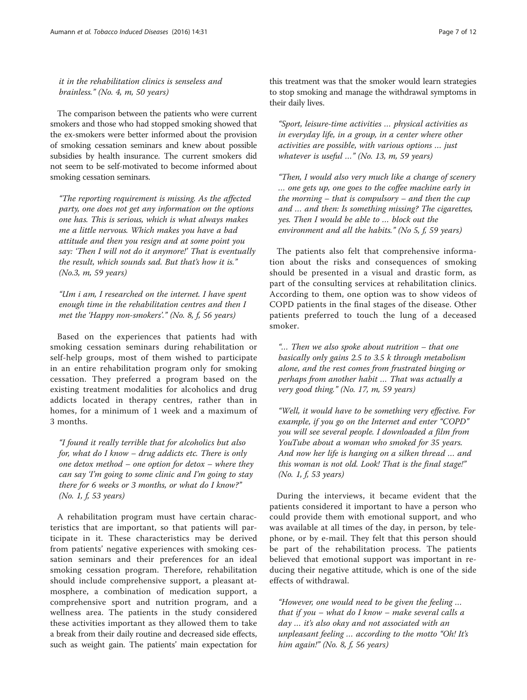it in the rehabilitation clinics is senseless and brainless." (No. 4, m, 50 years)

The comparison between the patients who were current smokers and those who had stopped smoking showed that the ex-smokers were better informed about the provision of smoking cessation seminars and knew about possible subsidies by health insurance. The current smokers did not seem to be self-motivated to become informed about smoking cessation seminars.

"The reporting requirement is missing. As the affected party, one does not get any information on the options one has. This is serious, which is what always makes me a little nervous. Which makes you have a bad attitude and then you resign and at some point you say: 'Then I will not do it anymore!' That is eventually the result, which sounds sad. But that's how it is." (No.3, m, 59 years)

"Um i am, I researched on the internet. I have spent enough time in the rehabilitation centres and then I met the 'Happy non-smokers'." (No. 8, f, 56 years)

Based on the experiences that patients had with smoking cessation seminars during rehabilitation or self-help groups, most of them wished to participate in an entire rehabilitation program only for smoking cessation. They preferred a program based on the existing treatment modalities for alcoholics and drug addicts located in therapy centres, rather than in homes, for a minimum of 1 week and a maximum of 3 months.

"I found it really terrible that for alcoholics but also for, what do I know  $-$  drug addicts etc. There is only one detox method – one option for detox – where they can say 'I'm going to some clinic and I'm going to stay there for 6 weeks or 3 months, or what do I know?" (No. 1, f, 53 years)

A rehabilitation program must have certain characteristics that are important, so that patients will participate in it. These characteristics may be derived from patients' negative experiences with smoking cessation seminars and their preferences for an ideal smoking cessation program. Therefore, rehabilitation should include comprehensive support, a pleasant atmosphere, a combination of medication support, a comprehensive sport and nutrition program, and a wellness area. The patients in the study considered these activities important as they allowed them to take a break from their daily routine and decreased side effects, such as weight gain. The patients' main expectation for this treatment was that the smoker would learn strategies to stop smoking and manage the withdrawal symptoms in their daily lives.

"Sport, leisure-time activities … physical activities as in everyday life, in a group, in a center where other activities are possible, with various options … just whatever is useful ..." (No. 13, m, 59 years)

"Then, I would also very much like a change of scenery … one gets up, one goes to the coffee machine early in the morning  $-$  that is compulsory  $-$  and then the cup and … and then: Is something missing? The cigarettes, yes. Then I would be able to … block out the environment and all the habits." (No 5, f, 59 years)

The patients also felt that comprehensive information about the risks and consequences of smoking should be presented in a visual and drastic form, as part of the consulting services at rehabilitation clinics. According to them, one option was to show videos of COPD patients in the final stages of the disease. Other patients preferred to touch the lung of a deceased smoker.

"… Then we also spoke about nutrition – that one basically only gains 2.5 to 3.5 k through metabolism alone, and the rest comes from frustrated binging or perhaps from another habit … That was actually a very good thing." (No. 17, m, 59 years)

"Well, it would have to be something very effective. For example, if you go on the Internet and enter "COPD" you will see several people. I downloaded a film from YouTube about a woman who smoked for 35 years. And now her life is hanging on a silken thread … and this woman is not old. Look! That is the final stage!" (No. 1, f, 53 years)

During the interviews, it became evident that the patients considered it important to have a person who could provide them with emotional support, and who was available at all times of the day, in person, by telephone, or by e-mail. They felt that this person should be part of the rehabilitation process. The patients believed that emotional support was important in reducing their negative attitude, which is one of the side effects of withdrawal.

"However, one would need to be given the feeling … that if you – what do I know – make several calls a day … it's also okay and not associated with an unpleasant feeling … according to the motto "Oh! It's him again!" (No. 8, f, 56 years)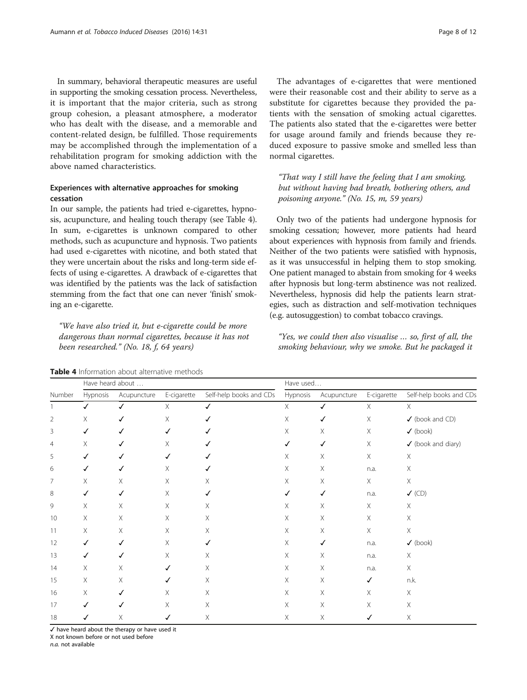In summary, behavioral therapeutic measures are useful in supporting the smoking cessation process. Nevertheless, it is important that the major criteria, such as strong group cohesion, a pleasant atmosphere, a moderator who has dealt with the disease, and a memorable and content-related design, be fulfilled. Those requirements may be accomplished through the implementation of a rehabilitation program for smoking addiction with the above named characteristics.

## Experiences with alternative approaches for smoking cessation

In our sample, the patients had tried e-cigarettes, hypnosis, acupuncture, and healing touch therapy (see Table 4). In sum, e-cigarettes is unknown compared to other methods, such as acupuncture and hypnosis. Two patients had used e-cigarettes with nicotine, and both stated that they were uncertain about the risks and long-term side effects of using e-cigarettes. A drawback of e-cigarettes that was identified by the patients was the lack of satisfaction stemming from the fact that one can never 'finish' smoking an e-cigarette.

"We have also tried it, but e-cigarette could be more dangerous than normal cigarettes, because it has not been researched." (No. 18, f, 64 years)

The advantages of e-cigarettes that were mentioned were their reasonable cost and their ability to serve as a substitute for cigarettes because they provided the patients with the sensation of smoking actual cigarettes. The patients also stated that the e-cigarettes were better for usage around family and friends because they reduced exposure to passive smoke and smelled less than normal cigarettes.

"That way I still have the feeling that I am smoking, but without having bad breath, bothering others, and poisoning anyone." (No. 15, m, 59 years)

Only two of the patients had undergone hypnosis for smoking cessation; however, more patients had heard about experiences with hypnosis from family and friends. Neither of the two patients were satisfied with hypnosis, as it was unsuccessful in helping them to stop smoking. One patient managed to abstain from smoking for 4 weeks after hypnosis but long-term abstinence was not realized. Nevertheless, hypnosis did help the patients learn strategies, such as distraction and self-motivation techniques (e.g. autosuggestion) to combat tobacco cravings.

"Yes, we could then also visualise … so, first of all, the smoking behaviour, why we smoke. But he packaged it

✓ have heard about the therapy or have used it

X not known before or not used before

n.a. not available

|        | Have heard about |                          |             |                         | Have used |              |             |                                |
|--------|------------------|--------------------------|-------------|-------------------------|-----------|--------------|-------------|--------------------------------|
| Number | Hypnosis         | Acupuncture              | E-cigarette | Self-help books and CDs | Hypnosis  | Acupuncture  | E-cigarette | Self-help books and CDs        |
|        | ℐ                | $\overline{\mathcal{L}}$ | $\times$    | ✓                       | $\times$  | $\checkmark$ | $\times$    | X                              |
| 2      | Χ                | ✓                        | X           | ✓                       | $\times$  | ✓            | X           | $\checkmark$ (book and CD)     |
| 3      | ✓                |                          | ✓           |                         | Χ         | Χ            | Χ           | $\checkmark$ (book)            |
| 4      | Χ                | ✓                        | X           |                         | ✓         | $\checkmark$ | X           | $\checkmark$ (book and diary)  |
| 5      | ✓                | ✓                        | ✓           |                         | Χ         | X            | X           | Χ                              |
| 6      | ✓                | ✓                        | Χ           |                         | Χ         | $\times$     | n.a.        | X                              |
| 7      | Χ                | Χ                        | Χ           | Χ                       | Χ         | X            | X           | X                              |
| 8      | ✓                | ✓                        | X           |                         |           | ✓            | n.a.        | $\boldsymbol{\checkmark}$ (CD) |
| 9      | Χ                | X                        | Χ           | Χ                       | Χ         | X            | X           | $\times$                       |
| 10     | Χ                | Χ                        | X           | Χ                       | Χ         | Χ            | Χ           | X                              |
| 11     | $\times$         | X                        | X           | X                       | $\times$  | X            | Χ           | $\times$                       |
| 12     | ✓                | ✓                        | Χ           | ✓                       | Χ         | √            | n.a.        | $\checkmark$ (book)            |
| 13     | ✓                | ✓                        | X           | Χ                       | X         | X            | n.a.        | X                              |
| 14     | Χ                | Χ                        | ✓           | Χ                       | Χ         | X            | n.a.        | X.                             |
| 15     | $\times$         | X                        |             | Χ                       | $\times$  | X            | ✓           | n.k.                           |
| 16     | Χ                | ✓                        | X           | Χ                       | $\times$  | $\times$     | Χ           | $\times$                       |
| 17     | ✓                | ✓                        | Χ           | $\times$                | Χ         | X            | Χ           | Χ                              |
| 18     | ✓                | X                        | ✓           | Χ                       | X         | X            | ✓           | X                              |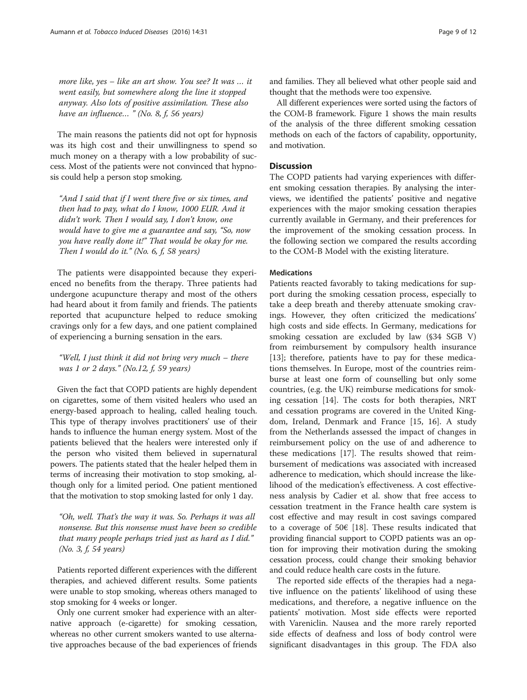more like, yes – like an art show. You see? It was … it went easily, but somewhere along the line it stopped anyway. Also lots of positive assimilation. These also have an influence... " (No. 8, f, 56 years)

The main reasons the patients did not opt for hypnosis was its high cost and their unwillingness to spend so much money on a therapy with a low probability of success. Most of the patients were not convinced that hypnosis could help a person stop smoking.

"And I said that if I went there five or six times, and then had to pay, what do I know, 1000 EUR. And it didn't work. Then I would say, I don't know, one would have to give me a guarantee and say, "So, now you have really done it!" That would be okay for me. Then I would do it." (No. 6, f, 58 years)

The patients were disappointed because they experienced no benefits from the therapy. Three patients had undergone acupuncture therapy and most of the others had heard about it from family and friends. The patients reported that acupuncture helped to reduce smoking cravings only for a few days, and one patient complained of experiencing a burning sensation in the ears.

"Well, I just think it did not bring very much – there was 1 or 2 days." (No.12,  $f$ , 59 years)

Given the fact that COPD patients are highly dependent on cigarettes, some of them visited healers who used an energy-based approach to healing, called healing touch. This type of therapy involves practitioners' use of their hands to influence the human energy system. Most of the patients believed that the healers were interested only if the person who visited them believed in supernatural powers. The patients stated that the healer helped them in terms of increasing their motivation to stop smoking, although only for a limited period. One patient mentioned that the motivation to stop smoking lasted for only 1 day.

"Oh, well. That's the way it was. So. Perhaps it was all nonsense. But this nonsense must have been so credible that many people perhaps tried just as hard as I did." (No. 3, f, 54 years)

Patients reported different experiences with the different therapies, and achieved different results. Some patients were unable to stop smoking, whereas others managed to stop smoking for 4 weeks or longer.

Only one current smoker had experience with an alternative approach (e-cigarette) for smoking cessation, whereas no other current smokers wanted to use alternative approaches because of the bad experiences of friends and families. They all believed what other people said and thought that the methods were too expensive.

All different experiences were sorted using the factors of the COM-B framework. Figure [1](#page-9-0) shows the main results of the analysis of the three different smoking cessation methods on each of the factors of capability, opportunity, and motivation.

### Discussion

The COPD patients had varying experiences with different smoking cessation therapies. By analysing the interviews, we identified the patients' positive and negative experiences with the major smoking cessation therapies currently available in Germany, and their preferences for the improvement of the smoking cessation process. In the following section we compared the results according to the COM-B Model with the existing literature.

#### Medications

Patients reacted favorably to taking medications for support during the smoking cessation process, especially to take a deep breath and thereby attenuate smoking cravings. However, they often criticized the medications' high costs and side effects. In Germany, medications for smoking cessation are excluded by law (§34 SGB V) from reimbursement by compulsory health insurance [[13\]](#page-11-0); therefore, patients have to pay for these medications themselves. In Europe, most of the countries reimburse at least one form of counselling but only some countries, (e.g. the UK) reimburse medications for smoking cessation [[14](#page-11-0)]. The costs for both therapies, NRT and cessation programs are covered in the United Kingdom, Ireland, Denmark and France [[15, 16\]](#page-11-0). A study from the Netherlands assessed the impact of changes in reimbursement policy on the use of and adherence to these medications [[17](#page-11-0)]. The results showed that reimbursement of medications was associated with increased adherence to medication, which should increase the likelihood of the medication's effectiveness. A cost effectiveness analysis by Cadier et al. show that free access to cessation treatment in the France health care system is cost effective and may result in cost savings compared to a coverage of 50 $\epsilon$  [\[18\]](#page-11-0). These results indicated that providing financial support to COPD patients was an option for improving their motivation during the smoking cessation process, could change their smoking behavior and could reduce health care costs in the future.

The reported side effects of the therapies had a negative influence on the patients' likelihood of using these medications, and therefore, a negative influence on the patients' motivation. Most side effects were reported with Vareniclin. Nausea and the more rarely reported side effects of deafness and loss of body control were significant disadvantages in this group. The FDA also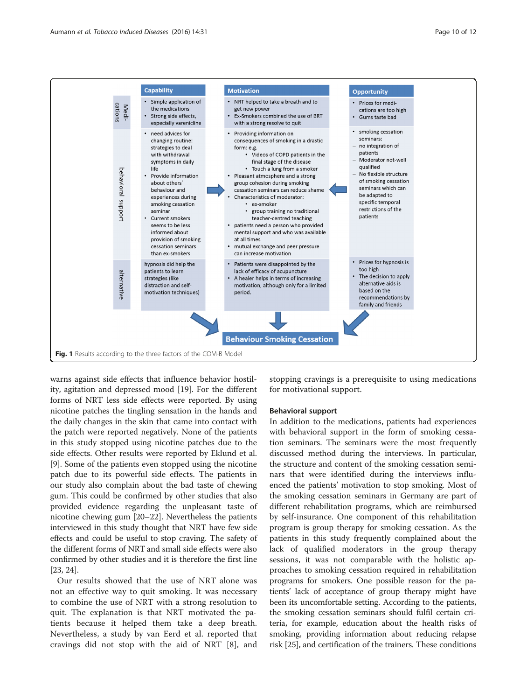<span id="page-9-0"></span>

warns against side effects that influence behavior hostility, agitation and depressed mood [[19\]](#page-11-0). For the different forms of NRT less side effects were reported. By using nicotine patches the tingling sensation in the hands and the daily changes in the skin that came into contact with the patch were reported negatively. None of the patients in this study stopped using nicotine patches due to the side effects. Other results were reported by Eklund et al. [[9\]](#page-11-0). Some of the patients even stopped using the nicotine patch due to its powerful side effects. The patients in our study also complain about the bad taste of chewing gum. This could be confirmed by other studies that also provided evidence regarding the unpleasant taste of nicotine chewing gum [[20](#page-11-0)–[22](#page-11-0)]. Nevertheless the patients interviewed in this study thought that NRT have few side effects and could be useful to stop craving. The safety of the different forms of NRT and small side effects were also confirmed by other studies and it is therefore the first line [[23](#page-11-0), [24\]](#page-11-0).

Our results showed that the use of NRT alone was not an effective way to quit smoking. It was necessary to combine the use of NRT with a strong resolution to quit. The explanation is that NRT motivated the patients because it helped them take a deep breath. Nevertheless, a study by van Eerd et al. reported that cravings did not stop with the aid of NRT [\[8](#page-11-0)], and stopping cravings is a prerequisite to using medications for motivational support.

#### Behavioral support

In addition to the medications, patients had experiences with behavioral support in the form of smoking cessation seminars. The seminars were the most frequently discussed method during the interviews. In particular, the structure and content of the smoking cessation seminars that were identified during the interviews influenced the patients' motivation to stop smoking. Most of the smoking cessation seminars in Germany are part of different rehabilitation programs, which are reimbursed by self-insurance. One component of this rehabilitation program is group therapy for smoking cessation. As the patients in this study frequently complained about the lack of qualified moderators in the group therapy sessions, it was not comparable with the holistic approaches to smoking cessation required in rehabilitation programs for smokers. One possible reason for the patients' lack of acceptance of group therapy might have been its uncomfortable setting. According to the patients, the smoking cessation seminars should fulfil certain criteria, for example, education about the health risks of smoking, providing information about reducing relapse risk [\[25\]](#page-11-0), and certification of the trainers. These conditions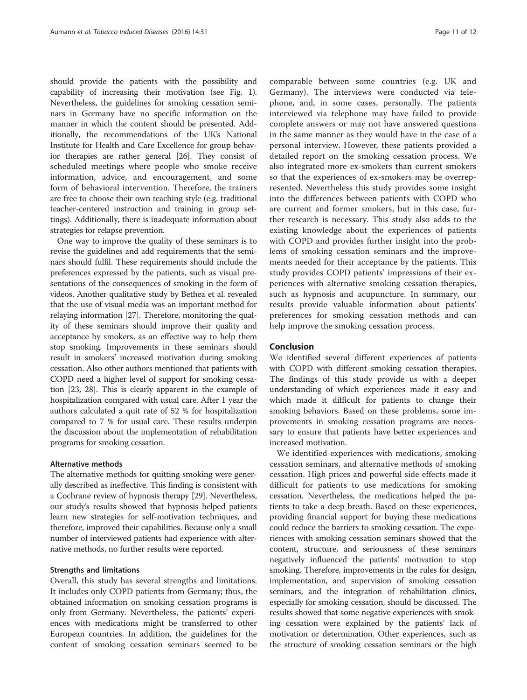should provide the patients with the possibility and capability of increasing their motivation (see Fig. [1](#page-9-0)). Nevertheless, the guidelines for smoking cessation seminars in Germany have no specific information on the manner in which the content should be presented. Additionally, the recommendations of the UK's National Institute for Health and Care Excellence for group behavior therapies are rather general [\[26\]](#page-11-0). They consist of scheduled meetings where people who smoke receive information, advice, and encouragement, and some form of behavioral intervention. Therefore, the trainers are free to choose their own teaching style (e.g. traditional teacher-centered instruction and training in group settings). Additionally, there is inadequate information about strategies for relapse prevention.

One way to improve the quality of these seminars is to revise the guidelines and add requirements that the seminars should fulfil. These requirements should include the preferences expressed by the patients, such as visual presentations of the consequences of smoking in the form of videos. Another qualitative study by Bethea et al. revealed that the use of visual media was an important method for relaying information [\[27](#page-11-0)]. Therefore, monitoring the quality of these seminars should improve their quality and acceptance by smokers, as an effective way to help them stop smoking. Improvements in these seminars should result in smokers' increased motivation during smoking cessation. Also other authors mentioned that patients with COPD need a higher level of support for smoking cessation [[23, 28](#page-11-0)]. This is clearly apparent in the example of hospitalization compared with usual care. After 1 year the authors calculated a quit rate of 52 % for hospitalization compared to 7 % for usual care. These results underpin the discussion about the implementation of rehabilitation programs for smoking cessation.

#### Alternative methods

The alternative methods for quitting smoking were generally described as ineffective. This finding is consistent with a Cochrane review of hypnosis therapy [[29](#page-11-0)]. Nevertheless, our study's results showed that hypnosis helped patients learn new strategies for self-motivation techniques, and therefore, improved their capabilities. Because only a small number of interviewed patients had experience with alternative methods, no further results were reported.

#### Strengths and limitations

Overall, this study has several strengths and limitations. It includes only COPD patients from Germany; thus, the obtained information on smoking cessation programs is only from Germany. Nevertheless, the patients' experiences with medications might be transferred to other European countries. In addition, the guidelines for the content of smoking cessation seminars seemed to be comparable between some countries (e.g. UK and Germany). The interviews were conducted via telephone, and, in some cases, personally. The patients interviewed via telephone may have failed to provide complete answers or may not have answered questions in the same manner as they would have in the case of a personal interview. However, these patients provided a detailed report on the smoking cessation process. We also integrated more ex-smokers than current smokers so that the experiences of ex-smokers may be overrepresented. Nevertheless this study provides some insight into the differences between patients with COPD who are current and former smokers, but in this case, further research is necessary. This study also adds to the existing knowledge about the experiences of patients with COPD and provides further insight into the problems of smoking cessation seminars and the improvements needed for their acceptance by the patients. This study provides COPD patients' impressions of their experiences with alternative smoking cessation therapies, such as hypnosis and acupuncture. In summary, our results provide valuable information about patients' preferences for smoking cessation methods and can help improve the smoking cessation process.

## Conclusion

We identified several different experiences of patients with COPD with different smoking cessation therapies. The findings of this study provide us with a deeper understanding of which experiences made it easy and which made it difficult for patients to change their smoking behaviors. Based on these problems, some improvements in smoking cessation programs are necessary to ensure that patients have better experiences and increased motivation.

We identified experiences with medications, smoking cessation seminars, and alternative methods of smoking cessation. High prices and powerful side effects made it difficult for patients to use medications for smoking cessation. Nevertheless, the medications helped the patients to take a deep breath. Based on these experiences, providing financial support for buying these medications could reduce the barriers to smoking cessation. The experiences with smoking cessation seminars showed that the content, structure, and seriousness of these seminars negatively influenced the patients' motivation to stop smoking. Therefore, improvements in the rules for design, implementation, and supervision of smoking cessation seminars, and the integration of rehabilitation clinics, especially for smoking cessation, should be discussed. The results showed that some negative experiences with smoking cessation were explained by the patients' lack of motivation or determination. Other experiences, such as the structure of smoking cessation seminars or the high